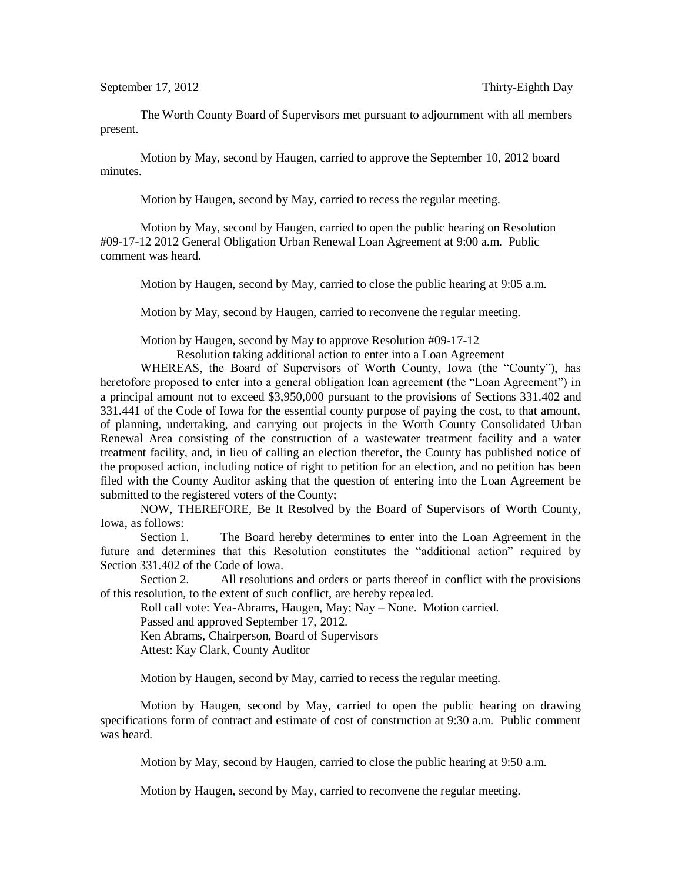The Worth County Board of Supervisors met pursuant to adjournment with all members present.

Motion by May, second by Haugen, carried to approve the September 10, 2012 board minutes.

Motion by Haugen, second by May, carried to recess the regular meeting.

Motion by May, second by Haugen, carried to open the public hearing on Resolution #09-17-12 2012 General Obligation Urban Renewal Loan Agreement at 9:00 a.m. Public comment was heard.

Motion by Haugen, second by May, carried to close the public hearing at 9:05 a.m.

Motion by May, second by Haugen, carried to reconvene the regular meeting.

Motion by Haugen, second by May to approve Resolution #09-17-12

Resolution taking additional action to enter into a Loan Agreement

WHEREAS, the Board of Supervisors of Worth County, Iowa (the "County"), has heretofore proposed to enter into a general obligation loan agreement (the "Loan Agreement") in a principal amount not to exceed \$3,950,000 pursuant to the provisions of Sections 331.402 and 331.441 of the Code of Iowa for the essential county purpose of paying the cost, to that amount, of planning, undertaking, and carrying out projects in the Worth County Consolidated Urban Renewal Area consisting of the construction of a wastewater treatment facility and a water treatment facility, and, in lieu of calling an election therefor, the County has published notice of the proposed action, including notice of right to petition for an election, and no petition has been filed with the County Auditor asking that the question of entering into the Loan Agreement be submitted to the registered voters of the County;

NOW, THEREFORE, Be It Resolved by the Board of Supervisors of Worth County, Iowa, as follows:

Section 1. The Board hereby determines to enter into the Loan Agreement in the future and determines that this Resolution constitutes the "additional action" required by Section 331.402 of the Code of Iowa.

Section 2. All resolutions and orders or parts thereof in conflict with the provisions of this resolution, to the extent of such conflict, are hereby repealed.

Roll call vote: Yea-Abrams, Haugen, May; Nay – None. Motion carried. Passed and approved September 17, 2012.

Ken Abrams, Chairperson, Board of Supervisors

Attest: Kay Clark, County Auditor

Motion by Haugen, second by May, carried to recess the regular meeting.

Motion by Haugen, second by May, carried to open the public hearing on drawing specifications form of contract and estimate of cost of construction at 9:30 a.m. Public comment was heard.

Motion by May, second by Haugen, carried to close the public hearing at 9:50 a.m.

Motion by Haugen, second by May, carried to reconvene the regular meeting.